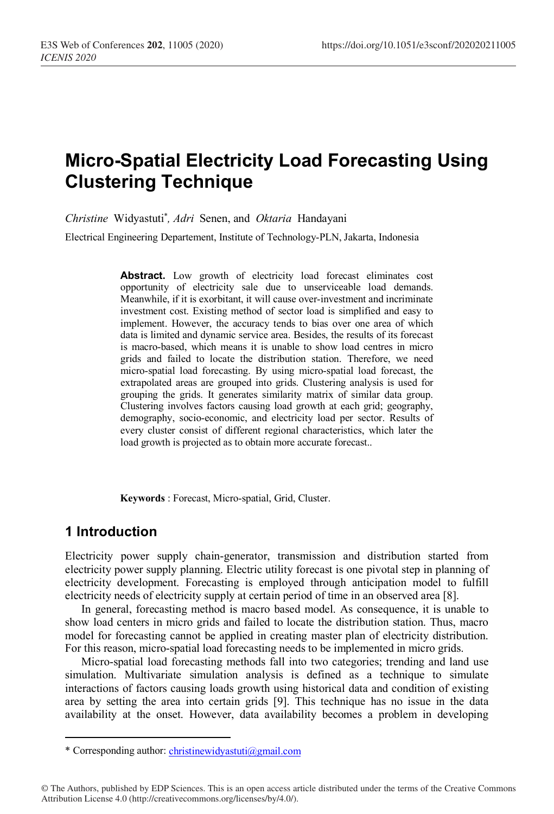# **Micro-Spatial Electricity Load Forecasting Using Clustering Technique**

*Christine* Widyastuti\* *, Adri* Senen, and *Oktaria* Handayani

Electrical Engineering Departement, Institute of Technology-PLN, Jakarta, Indonesia

Abstract. Low growth of electricity load forecast eliminates cost opportunity of electricity sale due to unserviceable load demands. Meanwhile, if it is exorbitant, it will cause over-investment and incriminate investment cost. Existing method of sector load is simplified and easy to implement. However, the accuracy tends to bias over one area of which data is limited and dynamic service area. Besides, the results of its forecast is macro-based, which means it is unable to show load centres in micro grids and failed to locate the distribution station. Therefore, we need micro-spatial load forecasting. By using micro-spatial load forecast, the extrapolated areas are grouped into grids. Clustering analysis is used for grouping the grids. It generates similarity matrix of similar data group. Clustering involves factors causing load growth at each grid; geography, demography, socio-economic, and electricity load per sector. Results of every cluster consist of different regional characteristics, which later the load growth is projected as to obtain more accurate forecast..

**Keywords** : Forecast, Micro-spatial, Grid, Cluster.

## **1 Introduction**

Electricity power supply chain-generator, transmission and distribution started from electricity power supply planning. Electric utility forecast is one pivotal step in planning of electricity development. Forecasting is employed through anticipation model to fulfill electricity needs of electricity supply at certain period of time in an observed area [8].

In general, forecasting method is macro based model. As consequence, it is unable to show load centers in micro grids and failed to locate the distribution station. Thus, macro model for forecasting cannot be applied in creating master plan of electricity distribution. For this reason, micro-spatial load forecasting needs to be implemented in micro grids.

Micro-spatial load forecasting methods fall into two categories; trending and land use simulation. Multivariate simulation analysis is defined as a technique to simulate interactions of factors causing loads growth using historical data and condition of existing area by setting the area into certain grids [9]. This technique has no issue in the data availability at the onset. However, data availability becomes a problem in developing

<sup>\*</sup> Corresponding author: christinewidyastuti@gmail.com

<sup>©</sup> The Authors, published by EDP Sciences. This is an open access article distributed under the terms of the Creative Commons Attribution License 4.0 (http://creativecommons.org/licenses/by/4.0/).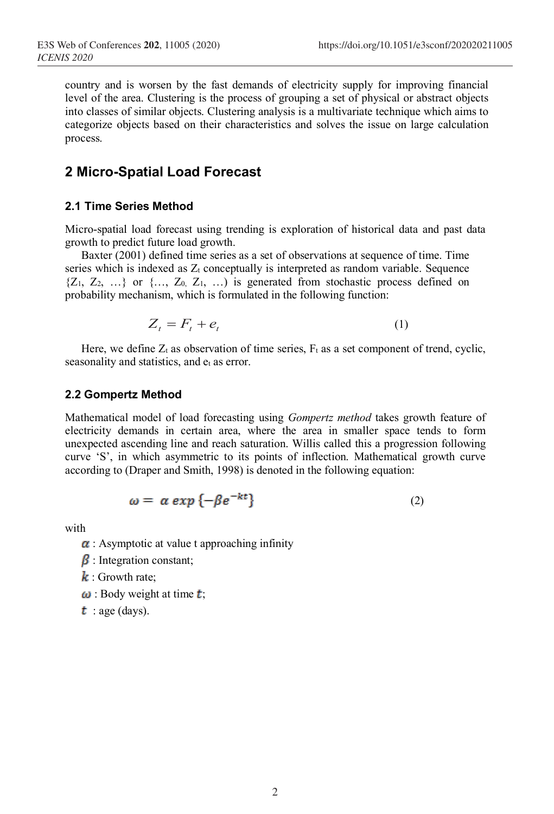country and is worsen by the fast demands of electricity supply for improving financial level of the area. Clustering is the process of grouping a set of physical or abstract objects into classes of similar objects. Clustering analysis is a multivariate technique which aims to categorize objects based on their characteristics and solves the issue on large calculation process.

# **2 Micro-Spatial Load Forecast**

#### **2.1 Time Series Method**

Micro-spatial load forecast using trending is exploration of historical data and past data growth to predict future load growth.

Baxter (2001) defined time series as a set of observations at sequence of time. Time series which is indexed as  $Z_t$  conceptually is interpreted as random variable. Sequence  ${Z_1, Z_2, ...}$  or  ${..., Z_0, Z_1, ...}$  is generated from stochastic process defined on probability mechanism, which is formulated in the following function:

$$
Z_t = F_t + e_t \tag{1}
$$

Here, we define  $Z_t$  as observation of time series,  $F_t$  as a set component of trend, cyclic, seasonality and statistics, and  $e_t$  as error.

#### **2.2 Gompertz Method**

Mathematical model of load forecasting using *Gompertz method* takes growth feature of electricity demands in certain area, where the area in smaller space tends to form unexpected ascending line and reach saturation. Willis called this a progression following curve 'S', in which asymmetric to its points of inflection. Mathematical growth curve according to (Draper and Smith, 1998) is denoted in the following equation:

$$
\omega = \alpha \exp \{-\beta e^{-kt}\}\tag{2}
$$

with

- $\alpha$ : Asymptotic at value t approaching infinity
- $\beta$ : Integration constant;
- $\mathbf{k}$ : Growth rate;
- $\omega$ : Body weight at time  $t$ ;
- $t$ : age (days).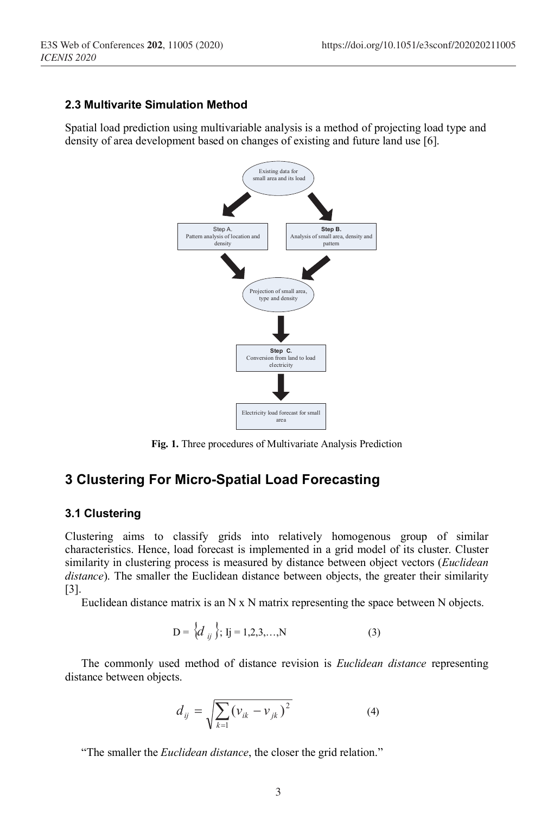## **2.3 Multivarite Simulation Method**

Spatial load prediction using multivariable analysis is a method of projecting load type and density of area development based on changes of existing and future land use [6].



**Fig. 1.** Three procedures of Multivariate Analysis Prediction

## **3 Clustering For Micro-Spatial Load Forecasting**

#### **3.1 Clustering**

Clustering aims to classify grids into relatively homogenous group of similar characteristics. Hence, load forecast is implemented in a grid model of its cluster. Cluster similarity in clustering process is measured by distance between object vectors (*Euclidean distance*). The smaller the Euclidean distance between objects, the greater their similarity [3].

Euclidean distance matrix is an  $N \times N$  matrix representing the space between  $N$  objects.

$$
D = \{d_{ij}\}; Ij = 1, 2, 3, ..., N
$$
 (3)

The commonly used method of distance revision is *Euclidean distance* representing distance between objects.

$$
d_{ij} = \sqrt{\sum_{k=1} (v_{ik} - v_{jk})^2}
$$
 (4)

"The smaller the *Euclidean distance*, the closer the grid relation."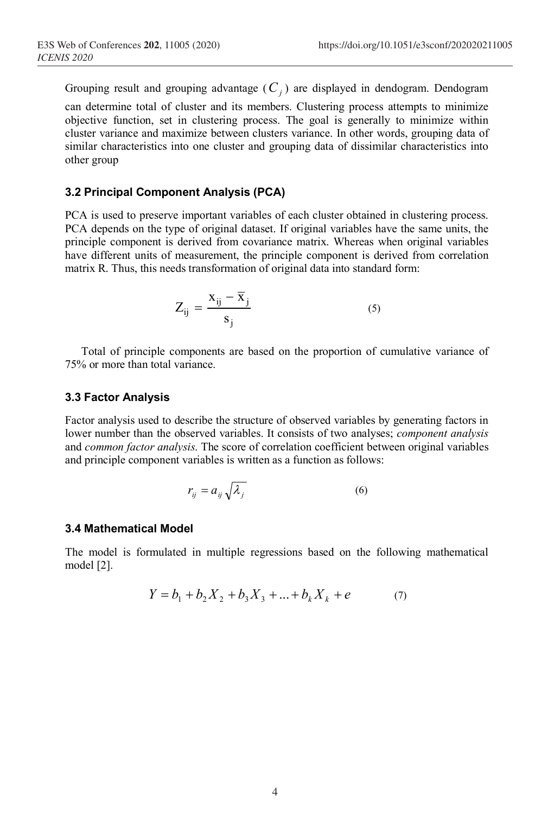Grouping result and grouping advantage  $(C_j)$  are displayed in dendogram. Dendogram can determine total of cluster and its members. Clustering process attempts to minimize objective function, set in clustering process. The goal is generally to minimize within cluster variance and maximize between clusters variance. In other words, grouping data of similar characteristics into one cluster and grouping data of dissimilar characteristics into other group

#### **3.2 Principal Component Analysis (PCA)**

PCA is used to preserve important variables of each cluster obtained in clustering process. PCA depends on the type of original dataset. If original variables have the same units, the principle component is derived from covariance matrix. Whereas when original variables have different units of measurement, the principle component is derived from correlation matrix R. Thus, this needs transformation of original data into standard form:

$$
Z_{ij} = \frac{x_{ij} - \overline{x}_j}{s_j} \tag{5}
$$

Total of principle components are based on the proportion of cumulative variance of 75% or more than total variance.

#### **3.3 Factor Analysis**

Factor analysis used to describe the structure of observed variables by generating factors in lower number than the observed variables. It consists of two analyses; *component analysis* and *common factor analysis*. The score of correlation coefficient between original variables and principle component variables is written as a function as follows:

$$
r_{ij} = a_{ij} \sqrt{\lambda_j} \tag{6}
$$

#### **3.4 Mathematical Model**

The model is formulated in multiple regressions based on the following mathematical model [2].

$$
Y = b_1 + b_2 X_2 + b_3 X_3 + \dots + b_k X_k + e \tag{7}
$$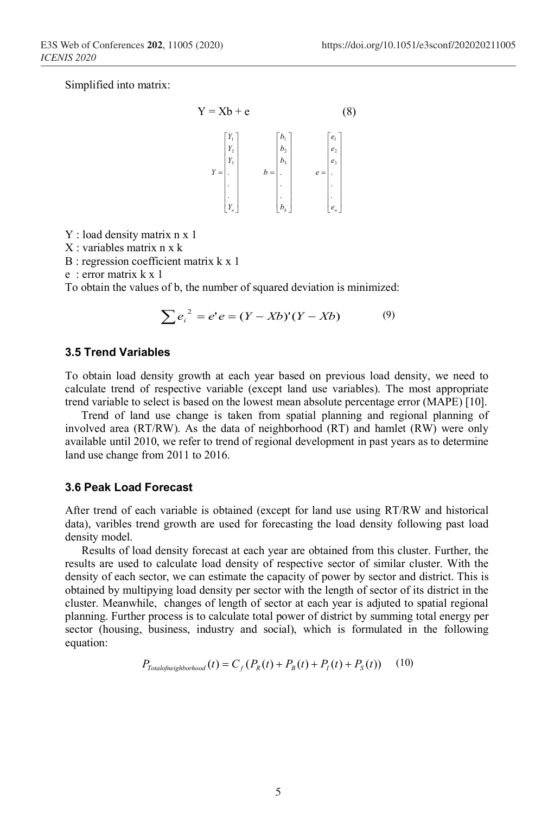Simplified into matrix:

$$
Y = Xb + e
$$
\n
$$
Y = \begin{bmatrix} Y_1 \\ Y_2 \\ Y_3 \\ Y_4 \\ \vdots \\ Y_n \end{bmatrix} \qquad b = \begin{bmatrix} b_1 \\ b_2 \\ b_3 \\ \vdots \\ b_n \end{bmatrix} \qquad e = \begin{bmatrix} e_1 \\ e_2 \\ e_3 \\ \vdots \\ e_n \end{bmatrix}
$$
\n(8)

Y : load density matrix n x 1

X : variables matrix n x k

B : regression coefficient matrix k x 1

e : error matrix k x 1

To obtain the values of b, the number of squared deviation is minimized:

$$
\sum e_i^2 = e' e = (Y - Xb)'(Y - Xb) \tag{9}
$$

#### **3.5 Trend Variables**

To obtain load density growth at each year based on previous load density, we need to calculate trend of respective variable (except land use variables). The most appropriate trend variable to select is based on the lowest mean absolute percentage error (MAPE) [10].

Trend of land use change is taken from spatial planning and regional planning of involved area (RT/RW). As the data of neighborhood (RT) and hamlet (RW) were only available until 2010, we refer to trend of regional development in past years as to determine land use change from 2011 to 2016.

#### **3.6 Peak Load Forecast**

After trend of each variable is obtained (except for land use using RT/RW and historical data), varibles trend growth are used for forecasting the load density following past load density model.

Results of load density forecast at each year are obtained from this cluster. Further, the results are used to calculate load density of respective sector of similar cluster. With the density of each sector, we can estimate the capacity of power by sector and district. This is obtained by multipying load density per sector with the length of sector of its district in the cluster. Meanwhile, changes of length of sector at each year is adjuted to spatial regional planning. Further process is to calculate total power of district by summing total energy per sector (housing, business, industry and social), which is formulated in the following equation:

$$
P_{\text{Totalofneighborhood}}(t) = C_f (P_R(t) + P_B(t) + P_I(t) + P_S(t)) \tag{10}
$$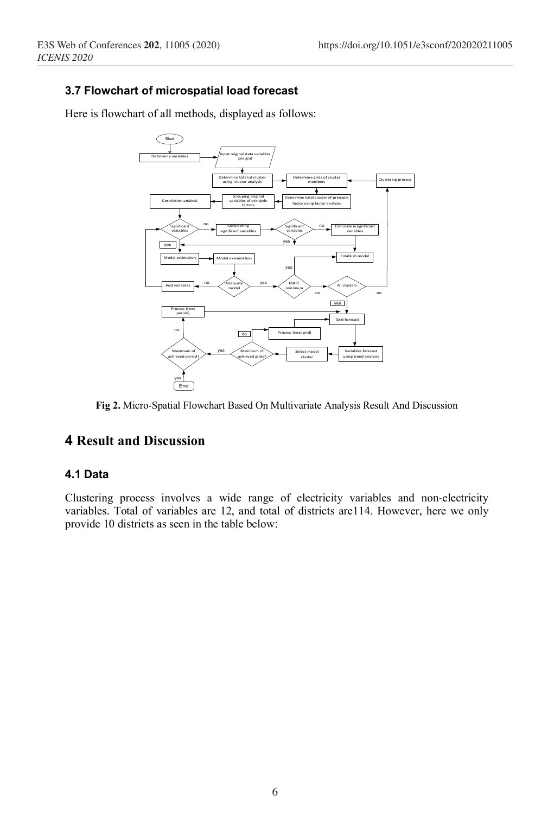# **3.7 Flowchart of microspatial load forecast**

Here is flowchart of all methods, displayed as follows:



**Fig 2.** Micro-Spatial Flowchart Based On Multivariate Analysis Result And Discussion

# **4 Result and Discussion**

## **4.1 Data**

Clustering process involves a wide range of electricity variables and non-electricity variables. Total of variables are 12, and total of districts are114. However, here we only provide 10 districts as seen in the table below: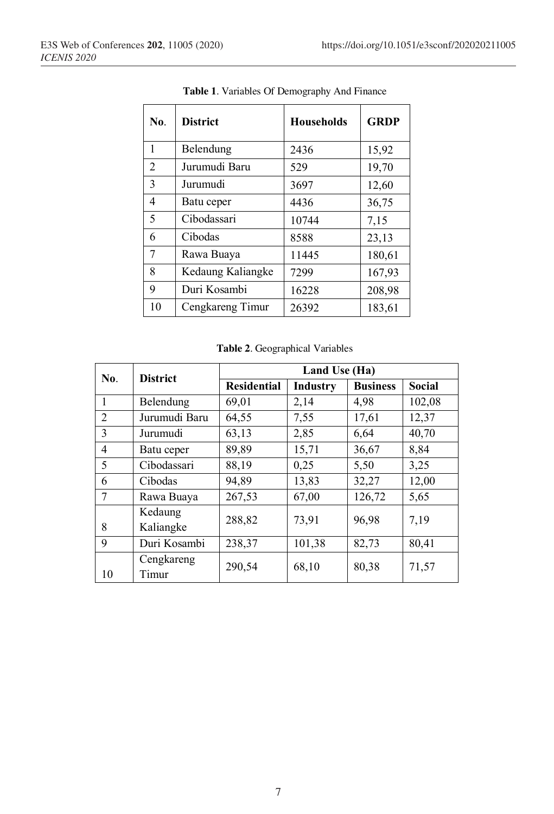| No. | <b>District</b>   | <b>Households</b> | <b>GRDP</b> |
|-----|-------------------|-------------------|-------------|
| 1   | Belendung         | 2436              | 15,92       |
| 2   | Jurumudi Baru     | 529               | 19,70       |
| 3   | Jurumudi          | 3697              | 12,60       |
| 4   | Batu ceper        | 4436              | 36,75       |
| 5   | Cibodassari       | 10744             | 7,15        |
| 6   | Cibodas           | 8588              | 23,13       |
| 7   | Rawa Buaya        | 11445             | 180,61      |
| 8   | Kedaung Kaliangke | 7299              | 167,93      |
| 9   | Duri Kosambi      | 16228             | 208,98      |
| 10  | Cengkareng Timur  | 26392             | 183,61      |

**Table 1**. Variables Of Demography And Finance

**Table 2**. Geographical Variables

| No.            | <b>District</b>      | Land Use (Ha)      |                 |                 |               |  |
|----------------|----------------------|--------------------|-----------------|-----------------|---------------|--|
|                |                      | <b>Residential</b> | <b>Industry</b> | <b>Business</b> | <b>Social</b> |  |
| 1              | Belendung            | 69,01              | 2,14            | 4,98            | 102,08        |  |
| 2              | Jurumudi Baru        | 64,55              | 7,55            | 17,61           | 12,37         |  |
| 3              | Jurumudi             | 63,13              | 2,85            | 6,64            | 40,70         |  |
| $\overline{4}$ | Batu ceper           | 89,89              | 15,71           | 36,67           | 8,84          |  |
| 5              | Cibodassari          | 88,19              | 0,25            | 5,50            | 3,25          |  |
| 6              | Cibodas              | 94,89              | 13,83           | 32,27           | 12,00         |  |
| 7              | Rawa Buaya           | 267,53             | 67,00           | 126,72          | 5,65          |  |
| 8              | Kedaung<br>Kaliangke | 288,82             | 73,91           | 96,98           | 7,19          |  |
| 9              | Duri Kosambi         | 238,37             | 101,38          | 82,73           | 80,41         |  |
| 10             | Cengkareng<br>Timur  | 290,54             | 68,10           | 80,38           | 71,57         |  |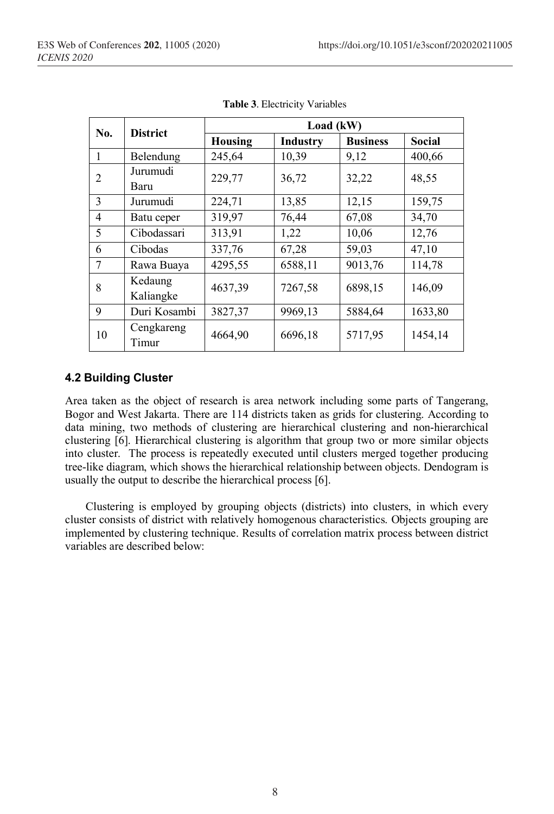| No. | <b>District</b>      | Load (kW)      |                 |                 |               |  |
|-----|----------------------|----------------|-----------------|-----------------|---------------|--|
|     |                      | <b>Housing</b> | <b>Industry</b> | <b>Business</b> | <b>Social</b> |  |
|     | Belendung            | 245,64         | 10,39           | 9,12            | 400,66        |  |
| 2   | Jurumudi<br>Baru     | 229,77         | 36,72           | 32,22           | 48,55         |  |
| 3   | Jurumudi             | 224,71         | 13,85           | 12,15           | 159,75        |  |
| 4   | Batu ceper           | 319,97         | 76,44           | 67,08           | 34,70         |  |
| 5   | Cibodassari          | 313,91         | 1,22            | 10,06           | 12,76         |  |
| 6   | Cibodas              | 337,76         | 67,28           | 59,03           | 47,10         |  |
| 7   | Rawa Buaya           | 4295,55        | 6588,11         | 9013,76         | 114,78        |  |
| 8   | Kedaung<br>Kaliangke | 4637,39        | 7267,58         | 6898,15         | 146,09        |  |
| 9   | Duri Kosambi         | 3827,37        | 9969,13         | 5884,64         | 1633,80       |  |
| 10  | Cengkareng<br>Timur  | 4664,90        | 6696,18         | 5717,95         | 1454,14       |  |

**Table 3**. Electricity Variables

## **4.2 Building Cluster**

Area taken as the object of research is area network including some parts of Tangerang, Bogor and West Jakarta. There are 114 districts taken as grids for clustering. According to data mining, two methods of clustering are hierarchical clustering and non-hierarchical clustering [6]. Hierarchical clustering is algorithm that group two or more similar objects into cluster. The process is repeatedly executed until clusters merged together producing tree-like diagram, which shows the hierarchical relationship between objects. Dendogram is usually the output to describe the hierarchical process [6].

Clustering is employed by grouping objects (districts) into clusters, in which every cluster consists of district with relatively homogenous characteristics. Objects grouping are implemented by clustering technique. Results of correlation matrix process between district variables are described below: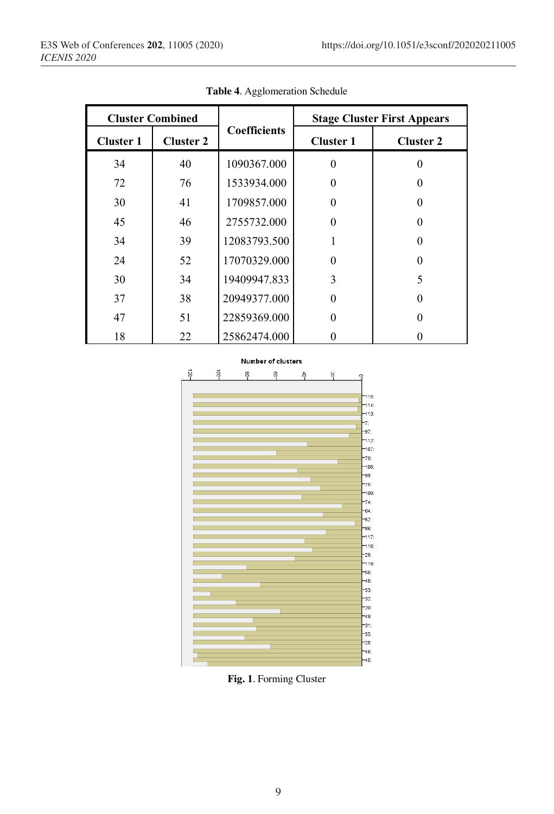| <b>Cluster Combined</b> |                  |                     | <b>Stage Cluster First Appears</b> |                  |  |
|-------------------------|------------------|---------------------|------------------------------------|------------------|--|
| <b>Cluster 1</b>        | <b>Cluster 2</b> | <b>Coefficients</b> | <b>Cluster 1</b>                   | <b>Cluster 2</b> |  |
| 34                      | 40               | 1090367.000         | 0                                  |                  |  |
| 72                      | 76               | 1533934.000         | 0                                  |                  |  |
| 30                      | 41               | 1709857.000         | 0                                  |                  |  |
| 45                      | 46               | 2755732.000         | 0                                  |                  |  |
| 34                      | 39               | 12083793.500        |                                    |                  |  |
| 24                      | 52               | 17070329.000        | 0                                  |                  |  |
| 30                      | 34               | 19409947.833        | 3                                  | 5                |  |
| 37                      | 38               | 20949377.000        | 0                                  |                  |  |
| 47                      | 51               | 22859369.000        | 0                                  |                  |  |
| 18                      | 22               | 25862474.000        |                                    |                  |  |

**Table 4**. Agglomeration Schedule



**Fig. 1**. Forming Cluster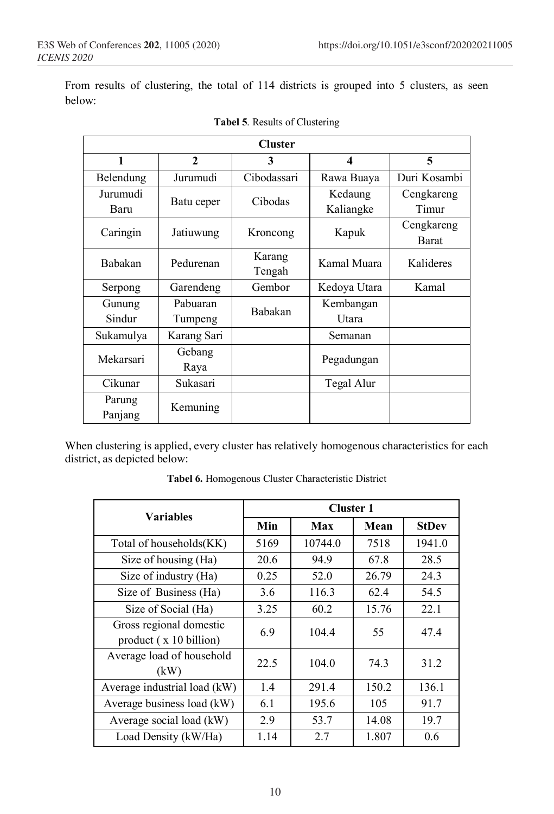From results of clustering, the total of 114 districts is grouped into 5 clusters, as seen below:

| <b>Cluster</b> |              |             |              |              |  |  |  |
|----------------|--------------|-------------|--------------|--------------|--|--|--|
| 1              | $\mathbf{2}$ | 3           | 4            | 5            |  |  |  |
| Belendung      | Jurumudi     | Cibodassari | Rawa Buaya   | Duri Kosambi |  |  |  |
| Jurumudi       | Batu ceper   | Cibodas     | Kedaung      | Cengkareng   |  |  |  |
| Baru           |              |             | Kaliangke    | Timur        |  |  |  |
| Caringin       | Jatiuwung    | Kroncong    | Kapuk        | Cengkareng   |  |  |  |
|                |              |             |              | <b>Barat</b> |  |  |  |
| <b>Babakan</b> | Pedurenan    | Karang      | Kamal Muara  | Kalideres    |  |  |  |
|                |              | Tengah      |              |              |  |  |  |
| Serpong        | Garendeng    | Gembor      | Kedoya Utara | Kamal        |  |  |  |
| Gunung         | Pabuaran     | Babakan     | Kembangan    |              |  |  |  |
| Sindur         | Tumpeng      |             | Utara        |              |  |  |  |
| Sukamulya      | Karang Sari  |             | Semanan      |              |  |  |  |
| Mekarsari      | Gebang       |             | Pegadungan   |              |  |  |  |
|                | Raya         |             |              |              |  |  |  |
| Cikunar        | Sukasari     |             | Tegal Alur   |              |  |  |  |
| Parung         |              |             |              |              |  |  |  |
| Panjang        | Kemuning     |             |              |              |  |  |  |

| Tabel 5. Results of Clustering |
|--------------------------------|
|                                |

When clustering is applied, every cluster has relatively homogenous characteristics for each district, as depicted below:

| <b>Variables</b>                                  | <b>Cluster 1</b> |         |       |              |  |
|---------------------------------------------------|------------------|---------|-------|--------------|--|
|                                                   | Min              | Max     | Mean  | <b>StDev</b> |  |
| Total of households(KK)                           | 5169             | 10744.0 | 7518  | 1941.0       |  |
| Size of housing (Ha)                              | 20.6             | 94.9    | 67.8  | 28.5         |  |
| Size of industry (Ha)                             | 0.25             | 52.0    | 26.79 | 24.3         |  |
| Size of Business (Ha)                             | 3.6              | 116.3   | 62.4  | 54.5         |  |
| Size of Social (Ha)                               | 3.25             | 60.2    | 15.76 | 22.1         |  |
| Gross regional domestic<br>product (x 10 billion) | 6.9              | 104.4   | 55    | 47.4         |  |
| Average load of household<br>(kW)                 | 22.5             | 104.0   | 74.3  | 31.2         |  |
| Average industrial load (kW)                      | 1.4              | 291.4   | 150.2 | 136.1        |  |
| Average business load (kW)                        | 6.1              | 195.6   | 105   | 91.7         |  |
| Average social load (kW)                          | 2.9              | 53.7    | 14.08 | 19.7         |  |
| Load Density (kW/Ha)                              | 1.14             | 2.7     | 1.807 | 0.6          |  |

**Tabel 6.** Homogenous Cluster Characteristic District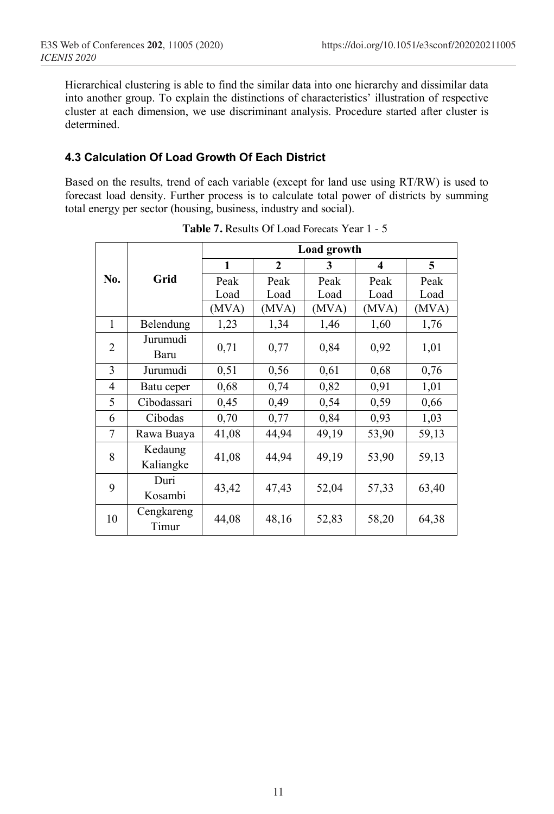Hierarchical clustering is able to find the similar data into one hierarchy and dissimilar data into another group. To explain the distinctions of characteristics' illustration of respective cluster at each dimension, we use discriminant analysis. Procedure started after cluster is determined.

## **4.3 Calculation Of Load Growth Of Each District**

Based on the results, trend of each variable (except for land use using RT/RW) is used to forecast load density. Further process is to calculate total power of districts by summing total energy per sector (housing, business, industry and social).

|     |                      | Load growth |              |       |                         |       |
|-----|----------------------|-------------|--------------|-------|-------------------------|-------|
|     |                      | 1           | $\mathbf{2}$ | 3     | $\overline{\mathbf{4}}$ | 5     |
| No. | Grid                 | Peak        | Peak         | Peak  | Peak                    | Peak  |
|     |                      | Load        | Load         | Load  | Load                    | Load  |
|     |                      | (MVA)       | (MVA)        | (MVA) | (MVA)                   | (MVA) |
| 1   | Belendung            | 1,23        | 1,34         | 1,46  | 1,60                    | 1,76  |
| 2   | Jurumudi<br>Baru     | 0,71        | 0,77         | 0,84  | 0,92                    | 1,01  |
| 3   | Jurumudi             | 0,51        | 0,56         | 0.61  | 0,68                    | 0,76  |
| 4   | Batu ceper           | 0,68        | 0,74         | 0,82  | 0,91                    | 1,01  |
| 5   | Cibodassari          | 0,45        | 0,49         | 0,54  | 0,59                    | 0,66  |
| 6   | Cibodas              | 0,70        | 0,77         | 0,84  | 0,93                    | 1,03  |
| 7   | Rawa Buaya           | 41,08       | 44,94        | 49,19 | 53,90                   | 59,13 |
| 8   | Kedaung<br>Kaliangke | 41,08       | 44,94        | 49,19 | 53,90                   | 59,13 |
| 9   | Duri<br>Kosambi      | 43,42       | 47,43        | 52,04 | 57,33                   | 63,40 |
| 10  | Cengkareng<br>Timur  | 44,08       | 48,16        | 52,83 | 58,20                   | 64,38 |

**Table 7.** Results Of Load Forecats Year 1 - 5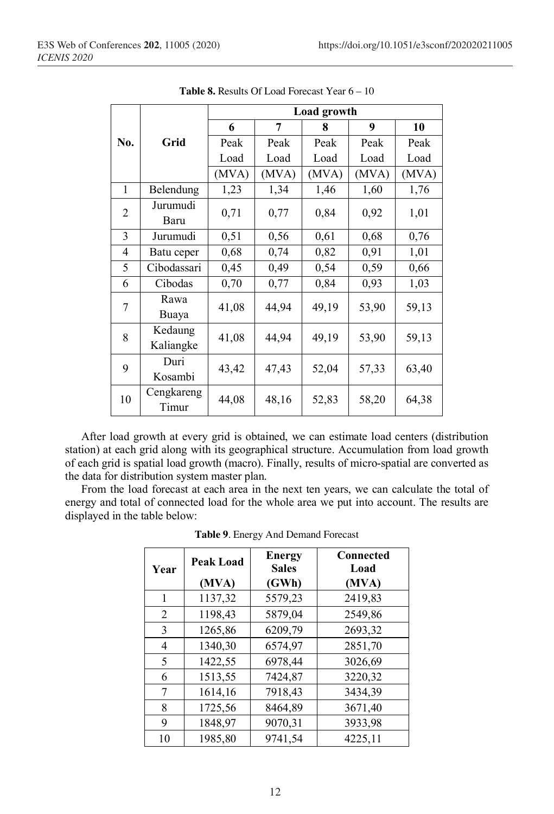|              |                      | Load growth |       |       |       |       |  |
|--------------|----------------------|-------------|-------|-------|-------|-------|--|
|              |                      | 6           | 7     | 8     | 9     | 10    |  |
| No.          | Grid                 | Peak        | Peak  | Peak  | Peak  | Peak  |  |
|              |                      | Load        | Load  | Load  | Load  | Load  |  |
|              |                      | (MVA)       | (MVA) | (MVA) | (MVA) | (MVA) |  |
| $\mathbf{1}$ | Belendung            | 1,23        | 1,34  | 1,46  | 1,60  | 1,76  |  |
| 2            | Jurumudi<br>Baru     | 0,71        | 0,77  | 0,84  | 0,92  | 1,01  |  |
| 3            | Jurumudi             | 0,51        | 0,56  | 0,61  | 0,68  | 0,76  |  |
| 4            | Batu ceper           | 0,68        | 0,74  | 0,82  | 0,91  | 1,01  |  |
| 5            | Cibodassari          | 0,45        | 0,49  | 0,54  | 0,59  | 0,66  |  |
| 6            | Cibodas              | 0,70        | 0,77  | 0,84  | 0,93  | 1,03  |  |
| 7            | Rawa<br>Buaya        | 41,08       | 44,94 | 49,19 | 53,90 | 59,13 |  |
| 8            | Kedaung<br>Kaliangke | 41,08       | 44,94 | 49,19 | 53,90 | 59,13 |  |
| 9            | Duri<br>Kosambi      | 43,42       | 47,43 | 52,04 | 57,33 | 63,40 |  |
| 10           | Cengkareng<br>Timur  | 44,08       | 48,16 | 52,83 | 58,20 | 64,38 |  |

**Table 8.** Results Of Load Forecast Year 6 – 10

After load growth at every grid is obtained, we can estimate load centers (distribution station) at each grid along with its geographical structure. Accumulation from load growth of each grid is spatial load growth (macro). Finally, results of micro-spatial are converted as the data for distribution system master plan.

From the load forecast at each area in the next ten years, we can calculate the total of energy and total of connected load for the whole area we put into account. The results are displayed in the table below:

| Year | <b>Peak Load</b> | <b>Energy</b><br><b>Sales</b> | <b>Connected</b><br>Load |
|------|------------------|-------------------------------|--------------------------|
|      | (MVA)            | (GWh)                         | (MVA)                    |
| 1    | 1137,32          | 5579,23                       | 2419,83                  |
| 2    | 1198,43          | 5879,04                       | 2549,86                  |
| 3    | 1265,86          | 6209,79                       | 2693,32                  |
| 4    | 1340,30          | 6574,97                       | 2851,70                  |
| 5    | 1422,55          | 6978,44                       | 3026,69                  |
| 6    | 1513,55          | 7424,87                       | 3220,32                  |
| 7    | 1614,16          | 7918,43                       | 3434,39                  |
| 8    | 1725,56          | 8464,89                       | 3671,40                  |
| 9    | 1848,97          | 9070,31                       | 3933,98                  |
| 10   | 1985,80          | 9741,54                       | 4225,11                  |

**Table 9**. Energy And Demand Forecast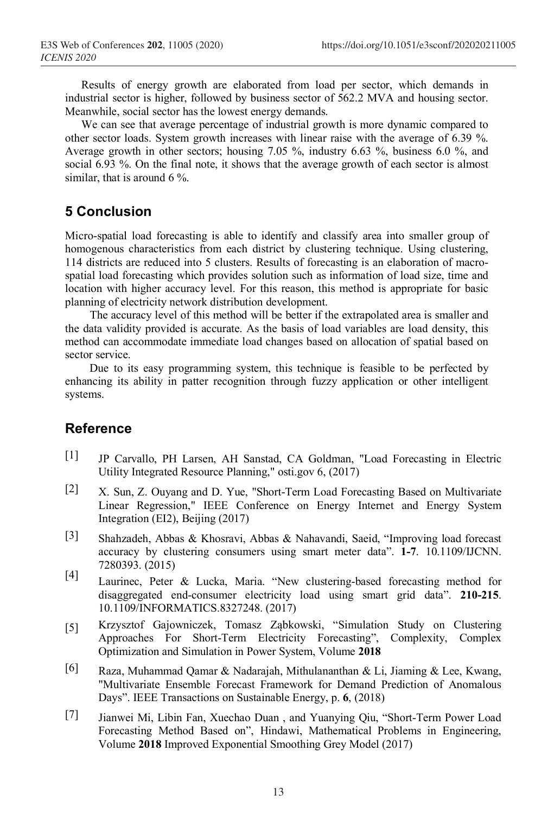Results of energy growth are elaborated from load per sector, which demands in industrial sector is higher, followed by business sector of 562.2 MVA and housing sector. Meanwhile, social sector has the lowest energy demands.

We can see that average percentage of industrial growth is more dynamic compared to other sector loads. System growth increases with linear raise with the average of 6.39 %. Average growth in other sectors; housing 7.05 %, industry 6.63 %, business 6.0 %, and social 6.93 %. On the final note, it shows that the average growth of each sector is almost similar, that is around 6 %.

# **5 Conclusion**

Micro-spatial load forecasting is able to identify and classify area into smaller group of homogenous characteristics from each district by clustering technique. Using clustering, 114 districts are reduced into 5 clusters. Results of forecasting is an elaboration of macrospatial load forecasting which provides solution such as information of load size, time and location with higher accuracy level. For this reason, this method is appropriate for basic planning of electricity network distribution development.

The accuracy level of this method will be better if the extrapolated area is smaller and the data validity provided is accurate. As the basis of load variables are load density, this method can accommodate immediate load changes based on allocation of spatial based on sector service.

Due to its easy programming system, this technique is feasible to be perfected by enhancing its ability in patter recognition through fuzzy application or other intelligent systems.

# **Reference**

- [1] JP Carvallo, PH Larsen, AH Sanstad, CA Goldman, "Load Forecasting in Electric Utility Integrated Resource Planning," osti.gov 6, (2017)
- [2] X. Sun, Z. Ouyang and D. Yue, "Short-Term Load Forecasting Based on Multivariate Linear Regression," IEEE Conference on Energy Internet and Energy System Integration (EI2), Beijing (2017)
- [3] Shahzadeh, Abbas & Khosravi, Abbas & Nahavandi, Saeid, "Improving load forecast accuracy by clustering consumers using smart meter data". **1-7**. 10.1109/IJCNN. 7280393. (2015)
- [4] Laurinec, Peter & Lucka, Maria. "New clustering-based forecasting method for disaggregated end-consumer electricity load using smart grid data". **210-215**. 10.1109/INFORMATICS.8327248. (2017)
- [5] Krzysztof Gajowniczek, Tomasz Ząbkowski, "Simulation Study on Clustering Approaches For Short-Term Electricity Forecasting", Complexity, Complex Optimization and Simulation in Power System, Volume **2018**
- [6] Raza, Muhammad Qamar & Nadarajah, Mithulananthan & Li, Jiaming & Lee, Kwang, "Multivariate Ensemble Forecast Framework for Demand Prediction of Anomalous Days". IEEE Transactions on Sustainable Energy, p. **6**, (2018)
- [7] Jianwei Mi, Libin Fan, Xuechao Duan , and Yuanying Qiu, "Short-Term Power Load Forecasting Method Based on", Hindawi, Mathematical Problems in Engineering, Volume **2018** Improved Exponential Smoothing Grey Model (2017)